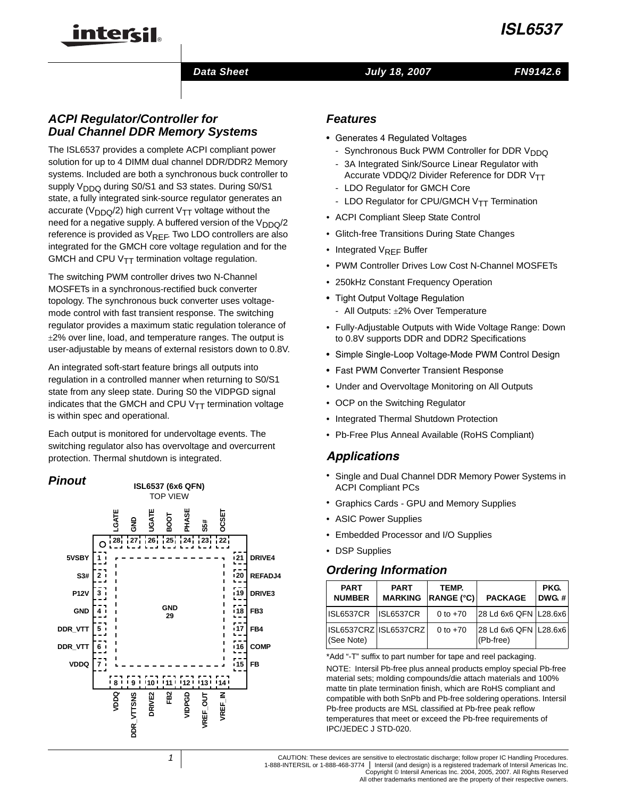#### *Data Sheet July 18, 2007 FN9142.6*

# *ACPI Regulator/Controller for Dual Channel DDR Memory Systems*

inter<del>cil</del>

The ISL6537 provides a complete ACPI compliant power solution for up to 4 DIMM dual channel DDR/DDR2 Memory systems. Included are both a synchronous buck controller to supply  $V<sub>DDQ</sub>$  during S0/S1 and S3 states. During S0/S1 state, a fully integrated sink-source regulator generates an accurate ( $V_{DDQ}/2$ ) high current V<sub>TT</sub> voltage without the need for a negative supply. A buffered version of the  $V_{DDQ}/2$ reference is provided as  $V_{REF}$ . Two LDO controllers are also integrated for the GMCH core voltage regulation and for the GMCH and CPU  $V_{TT}$  termination voltage regulation.

The switching PWM controller drives two N-Channel MOSFETs in a synchronous-rectified buck converter topology. The synchronous buck converter uses voltagemode control with fast transient response. The switching regulator provides a maximum static regulation tolerance of  $\pm$ 2% over line, load, and temperature ranges. The output is user-adjustable by means of external resistors down to 0.8V.

An integrated soft-start feature brings all outputs into regulation in a controlled manner when returning to S0/S1 state from any sleep state. During S0 the VIDPGD signal indicates that the GMCH and CPU  $V_{TT}$  termination voltage is within spec and operational.

Each output is monitored for undervoltage events. The switching regulator also has overvoltage and overcurrent protection. Thermal shutdown is integrated.



## *Features*

- Generates 4 Regulated Voltages
	- Synchronous Buck PWM Controller for DDR V<sub>DDQ</sub>
	- 3A Integrated Sink/Source Linear Regulator with Accurate VDDQ/2 Divider Reference for DDR  $V_{TT}$
	- LDO Regulator for GMCH Core
	- LDO Regulator for CPU/GMCH V<sub>TT</sub> Termination
- ACPI Compliant Sleep State Control
- Glitch-free Transitions During State Changes
- Integrated V<sub>REF</sub> Buffer
- PWM Controller Drives Low Cost N-Channel MOSFETs
- 250kHz Constant Frequency Operation
- Tight Output Voltage Regulation - All Outputs: ±2% Over Temperature
- Fully-Adjustable Outputs with Wide Voltage Range: Down to 0.8V supports DDR and DDR2 Specifications
- Simple Single-Loop Voltage-Mode PWM Control Design
- Fast PWM Converter Transient Response
- Under and Overvoltage Monitoring on All Outputs
- OCP on the Switching Regulator
- Integrated Thermal Shutdown Protection
- Pb-Free Plus Anneal Available (RoHS Compliant)

# *Applications*

- Single and Dual Channel DDR Memory Power Systems in ACPI Compliant PCs
- Graphics Cards GPU and Memory Supplies
- ASIC Power Supplies
- Embedded Processor and I/O Supplies
- DSP Supplies **<sup>1</sup>**

## *Ordering Information*

| <b>PART</b><br><b>NUMBER</b> | <b>PART</b><br><b>MARKING</b> | TEMP.<br>RANGE (°C) | <b>PACKAGE</b>                         | PKG.<br>DWG.# |
|------------------------------|-------------------------------|---------------------|----------------------------------------|---------------|
| ISL6537CR                    | ISL6537CR                     | 0 to $+70$          | 28 Ld 6x6 QFN L28.6x6                  |               |
| (See Note)                   | ISL6537CRZ ISL6537CRZ         | 0 to $+70$          | 28 Ld 6x6 QFN   L28.6x6  <br>(Pb-free) |               |

\*Add "-T" suffix to part number for tape and reel packaging.

NOTE: Intersil Pb-free plus anneal products employ special Pb-free material sets; molding compounds/die attach materials and 100% matte tin plate termination finish, which are RoHS compliant and compatible with both SnPb and Pb-free soldering operations. Intersil Pb-free products are MSL classified at Pb-free peak reflow temperatures that meet or exceed the Pb-free requirements of IPC/JEDEC J STD-020.

CAUTION: These devices are sensitive to electrostatic discharge; follow proper IC Handling Procedures. 1-888-INTERSIL or 1-888-468-3774 | Intersil (and design) is a registered trademark of Intersil Americas Inc. Copyright © Intersil Americas Inc. 2004, 2005, 2007. All Rights Reserved

All other trademarks mentioned are the property of their respective owners.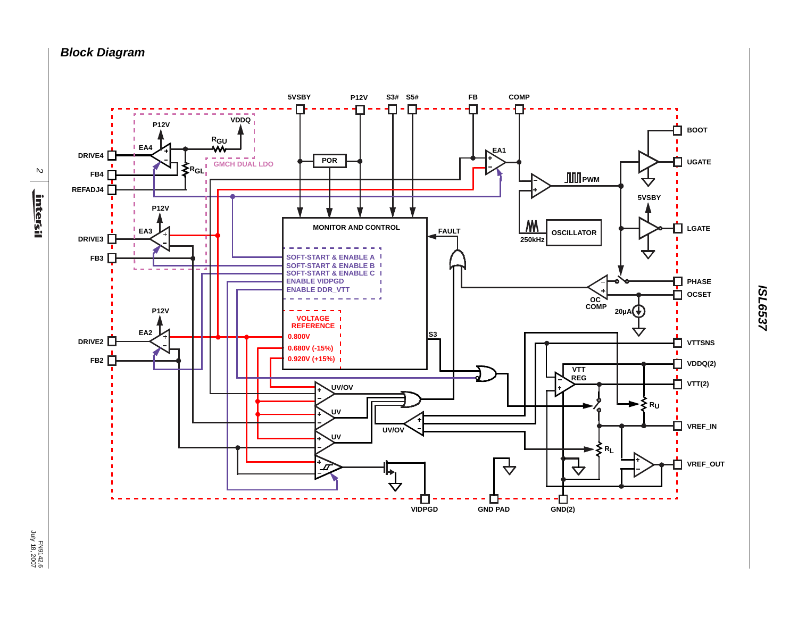*Block Diagram*

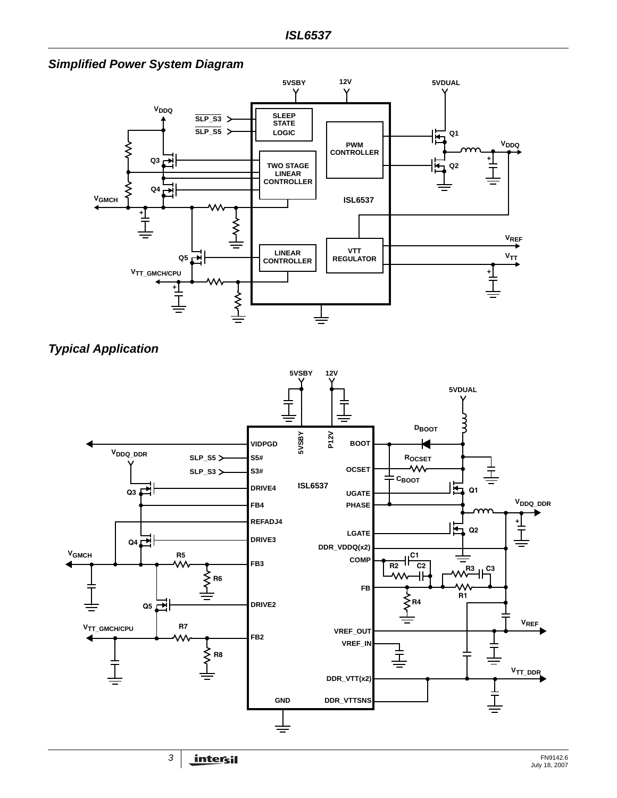*Simplified Power System Diagram*





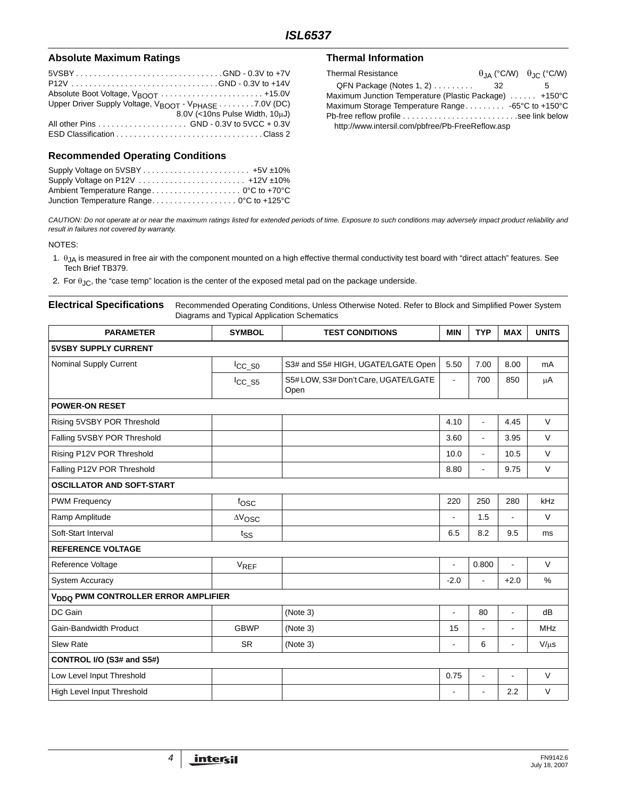#### Absolute Maximum Ratings **Thermal Information**

| 5VSBYGND - 0.3V to +7V                                                        |                                |
|-------------------------------------------------------------------------------|--------------------------------|
|                                                                               |                                |
|                                                                               |                                |
| Upper Driver Supply Voltage, V <sub>BOOT</sub> - V <sub>PHASE</sub> 7.0V (DC) |                                |
|                                                                               | 8.0V (<10ns Pulse Width, 10uJ) |
|                                                                               |                                |
|                                                                               |                                |

#### **Recommended Operating Conditions**

| Ambient Temperature Range 0°C to +70°C   |  |
|------------------------------------------|--|
| Junction Temperature Range 0°C to +125°C |  |

| <b>Thermal Resistance</b>                              |      | $\theta_{JA}$ (°C/W) $\theta_{JC}$ (°C/W) |
|--------------------------------------------------------|------|-------------------------------------------|
| $QFN$ Package (Notes 1, 2) $\ldots \ldots$             | - 32 |                                           |
| Maximum Junction Temperature (Plastic Package)  +150°C |      |                                           |
| Maximum Storage Temperature Range -65°C to +150°C      |      |                                           |
| Pb-free reflow profile see link below                  |      |                                           |
| http://www.intersil.com/pbfree/Pb-FreeReflow.asp       |      |                                           |

*CAUTION: Do not operate at or near the maximum ratings listed for extended periods of time. Exposure to such conditions may adversely impact product reliability and result in failures not covered by warranty.*

#### NOTES:

- 1.  $\theta_{JA}$  is measured in free air with the component mounted on a high effective thermal conductivity test board with "direct attach" features. See Tech Brief TB379.
- 2. For  $\theta_{\text{JC}}$ , the "case temp" location is the center of the exposed metal pad on the package underside.

**Electrical Specifications** Recommended Operating Conditions, Unless Otherwise Noted. Refer to Block and Simplified Power System Diagrams and Typical Application Schematics

| <b>PARAMETER</b>                                | <b>SYMBOL</b>          | <b>TEST CONDITIONS</b>                       | <b>MIN</b>     | <b>TYP</b>               | <b>MAX</b>     | <b>UNITS</b> |
|-------------------------------------------------|------------------------|----------------------------------------------|----------------|--------------------------|----------------|--------------|
| <b>5VSBY SUPPLY CURRENT</b>                     |                        |                                              |                |                          |                |              |
| Nominal Supply Current                          | $\overline{ICC_S0}$    | S3# and S5# HIGH, UGATE/LGATE Open           | 5.50           | 7.00                     | 8.00           | mA           |
|                                                 | $ICC$ _S5              | S5# LOW, S3# Don't Care, UGATE/LGATE<br>Open | $\blacksquare$ | 700                      | 850            | μA           |
| <b>POWER-ON RESET</b>                           |                        |                                              |                |                          |                |              |
| Rising 5VSBY POR Threshold                      |                        |                                              | 4.10           | $\blacksquare$           | 4.45           | $\vee$       |
| Falling 5VSBY POR Threshold                     |                        |                                              | 3.60           | $\blacksquare$           | 3.95           | V            |
| Rising P12V POR Threshold                       |                        |                                              | 10.0           | $\blacksquare$           | 10.5           | V            |
| Falling P12V POR Threshold                      |                        |                                              | 8.80           | $\blacksquare$           | 9.75           | $\vee$       |
| <b>OSCILLATOR AND SOFT-START</b>                |                        |                                              |                |                          |                |              |
| <b>PWM Frequency</b>                            | fosc                   |                                              | 220            | 250                      | 280            | kHz          |
| Ramp Amplitude                                  | $\Delta\rm{V_{OSC}}$   |                                              | L,             | 1.5                      | ä,             | V            |
| Soft-Start Interval                             | $t_{SS}$               |                                              | 6.5            | 8.2                      | 9.5            | ms           |
| <b>REFERENCE VOLTAGE</b>                        |                        |                                              |                |                          |                |              |
| Reference Voltage                               | <b>V<sub>REF</sub></b> |                                              | L,             | 0.800                    | $\blacksquare$ | $\vee$       |
| <b>System Accuracy</b>                          |                        |                                              | $-2.0$         | $\blacksquare$           | $+2.0$         | %            |
| V <sub>DDQ</sub> PWM CONTROLLER ERROR AMPLIFIER |                        |                                              |                |                          |                |              |
| DC Gain                                         |                        | (Note 3)                                     | L,             | 80                       | ä,             | dB           |
| Gain-Bandwidth Product                          | <b>GBWP</b>            | (Note 3)                                     | 15             | $\overline{a}$           |                | <b>MHz</b>   |
| <b>Slew Rate</b>                                | <b>SR</b>              | (Note 3)                                     | $\blacksquare$ | 6                        | $\blacksquare$ | $V/\mu s$    |
| CONTROL I/O (S3# and S5#)                       |                        |                                              |                |                          |                |              |
| Low Level Input Threshold                       |                        |                                              | 0.75           | $\blacksquare$           | ÷,             | V            |
| High Level Input Threshold                      |                        |                                              | $\blacksquare$ | $\overline{\phantom{a}}$ | 2.2            | $\vee$       |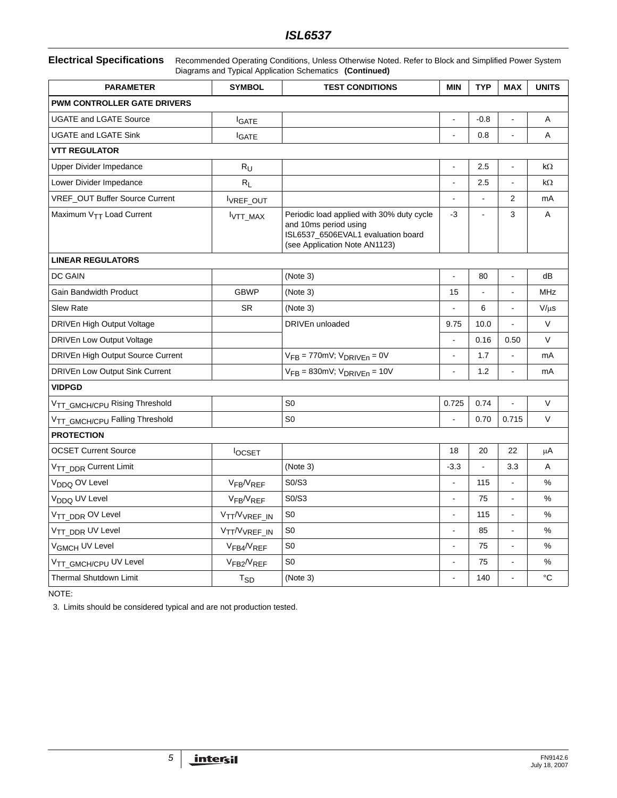### *ISL6537*

#### **Electrical Specifications** Recommended Operating Conditions, Unless Otherwise Noted. Refer to Block and Simplified Power System Diagrams and Typical Application Schematics **(Continued)**

| <b>PARAMETER</b>                     | <b>SYMBOL</b>                         | <b>TEST CONDITIONS</b>                                                                                                                    | <b>MIN</b>               | <b>TYP</b>     | <b>MAX</b>               | <b>UNITS</b> |  |  |
|--------------------------------------|---------------------------------------|-------------------------------------------------------------------------------------------------------------------------------------------|--------------------------|----------------|--------------------------|--------------|--|--|
| <b>PWM CONTROLLER GATE DRIVERS</b>   |                                       |                                                                                                                                           |                          |                |                          |              |  |  |
| <b>UGATE and LGATE Source</b>        | <b>I</b> GATE                         |                                                                                                                                           | L,                       | $-0.8$         |                          | A            |  |  |
| <b>UGATE and LGATE Sink</b>          | <b>IGATE</b>                          |                                                                                                                                           |                          | 0.8            | $\overline{a}$           | Α            |  |  |
| <b>VTT REGULATOR</b>                 |                                       |                                                                                                                                           |                          |                |                          |              |  |  |
| Upper Divider Impedance              | $R_U$                                 |                                                                                                                                           | $\overline{a}$           | 2.5            | $\overline{a}$           | $k\Omega$    |  |  |
| Lower Divider Impedance              | $R_L$                                 |                                                                                                                                           | $\overline{a}$           | 2.5            | $\blacksquare$           | $k\Omega$    |  |  |
| VREF_OUT Buffer Source Current       | IVREF_OUT                             |                                                                                                                                           | $\blacksquare$           | $\blacksquare$ | 2                        | mA           |  |  |
| Maximum V <sub>TT</sub> Load Current | VTT_MAX                               | Periodic load applied with 30% duty cycle<br>and 10ms period using<br>ISL6537_6506EVAL1 evaluation board<br>(see Application Note AN1123) | $-3$                     | $\overline{a}$ | 3                        | A            |  |  |
| <b>LINEAR REGULATORS</b>             |                                       |                                                                                                                                           |                          |                |                          |              |  |  |
| DC GAIN                              |                                       | (Note 3)                                                                                                                                  | $\overline{a}$           | 80             | $\overline{a}$           | dB           |  |  |
| <b>Gain Bandwidth Product</b>        | <b>GBWP</b>                           | (Note 3)                                                                                                                                  | 15                       | $\frac{1}{2}$  | ÷,                       | <b>MHz</b>   |  |  |
| <b>Slew Rate</b>                     | <b>SR</b>                             | (Note 3)                                                                                                                                  |                          | 6              |                          | $V/\mu s$    |  |  |
| DRIVEn High Output Voltage           |                                       | DRIVEn unloaded                                                                                                                           | 9.75                     | 10.0           | ÷,                       | V            |  |  |
| <b>DRIVEn Low Output Voltage</b>     |                                       |                                                                                                                                           | $\blacksquare$           | 0.16           | 0.50                     | V            |  |  |
| DRIVEn High Output Source Current    |                                       | $V_{FB} = 770$ mV; $V_{DRIVEn} = 0V$                                                                                                      | $\overline{a}$           | 1.7            |                          | mA           |  |  |
| DRIVEn Low Output Sink Current       |                                       | $V_{FB} = 830$ mV; $V_{DRIVEn} = 10V$                                                                                                     | $\overline{a}$           | 1.2            | $\overline{a}$           | mA           |  |  |
| <b>VIDPGD</b>                        |                                       |                                                                                                                                           |                          |                |                          |              |  |  |
| VTT_GMCH/CPU Rising Threshold        |                                       | S <sub>0</sub>                                                                                                                            | 0.725                    | 0.74           |                          | $\vee$       |  |  |
| VTT_GMCH/CPU Falling Threshold       |                                       | S <sub>0</sub>                                                                                                                            |                          | 0.70           | 0.715                    | $\vee$       |  |  |
| <b>PROTECTION</b>                    |                                       |                                                                                                                                           |                          |                |                          |              |  |  |
| <b>OCSET Current Source</b>          | <b>locsET</b>                         |                                                                                                                                           | 18                       | 20             | 22                       | μA           |  |  |
| V <sub>TT DDR</sub> Current Limit    |                                       | (Note 3)                                                                                                                                  | $-3.3$                   | $\overline{a}$ | 3.3                      | A            |  |  |
| V <sub>DDQ</sub> OV Level            | VFB <sup>/V</sup> REF                 | S0/S3                                                                                                                                     | $\overline{\phantom{a}}$ | 115            | $\overline{\phantom{a}}$ | %            |  |  |
| V <sub>DDQ</sub> UV Level            | VFB <sup>/V</sup> REF                 | S0/S3                                                                                                                                     | L,                       | 75             | $\overline{a}$           | %            |  |  |
| V <sub>TT_DDR</sub> OV Level         | VTT/VVREF_IN                          | S <sub>0</sub>                                                                                                                            | $\blacksquare$           | 115            | $\blacksquare$           | %            |  |  |
| V <sub>TT DDR</sub> UV Level         | V <sub>TT</sub> /V <sub>VREF</sub> IN | S <sub>0</sub>                                                                                                                            | $\blacksquare$           | 85             | $\overline{a}$           | %            |  |  |
| V <sub>GMCH</sub> UV Level           | VFB4 <sup>/V</sup> REF                | S <sub>0</sub>                                                                                                                            | $\overline{a}$           | 75             | $\overline{a}$           | %            |  |  |
| VTT GMCH/CPU UV Level                | VFB2 <sup>/V</sup> REF                | S <sub>0</sub>                                                                                                                            | $\blacksquare$           | 75             | $\overline{a}$           | %            |  |  |
| <b>Thermal Shutdown Limit</b>        | T <sub>SD</sub>                       | (Note 3)                                                                                                                                  | $\blacksquare$           | 140            | ÷,                       | $^{\circ}C$  |  |  |

NOTE:

<span id="page-4-0"></span>3. Limits should be considered typical and are not production tested.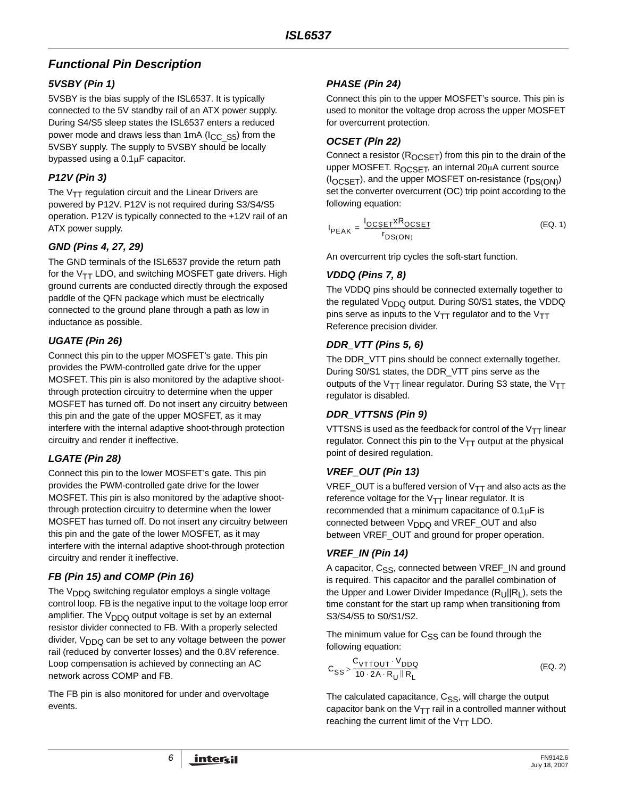# *Functional Pin Description*

## *5VSBY (Pin 1)*

5VSBY is the bias supply of the ISL6537. It is typically connected to the 5V standby rail of an ATX power supply. During S4/S5 sleep states the ISL6537 enters a reduced power mode and draws less than 1mA ( $I_{CC-S5}$ ) from the 5VSBY supply. The supply to 5VSBY should be locally bypassed using a 0.1μF capacitor.

## *P12V (Pin 3)*

The  $V_{TT}$  regulation circuit and the Linear Drivers are powered by P12V. P12V is not required during S3/S4/S5 operation. P12V is typically connected to the +12V rail of an ATX power supply.

## *GND (Pins 4, 27, 29)*

The GND terminals of the ISL6537 provide the return path for the  $V_{TT}$  LDO, and switching MOSFET gate drivers. High ground currents are conducted directly through the exposed paddle of the QFN package which must be electrically connected to the ground plane through a path as low in inductance as possible.

## *UGATE (Pin 26)*

Connect this pin to the upper MOSFET's gate. This pin provides the PWM-controlled gate drive for the upper MOSFET. This pin is also monitored by the adaptive shootthrough protection circuitry to determine when the upper MOSFET has turned off. Do not insert any circuitry between this pin and the gate of the upper MOSFET, as it may interfere with the internal adaptive shoot-through protection circuitry and render it ineffective.

## *LGATE (Pin 28)*

Connect this pin to the lower MOSFET's gate. This pin provides the PWM-controlled gate drive for the lower MOSFET. This pin is also monitored by the adaptive shootthrough protection circuitry to determine when the lower MOSFET has turned off. Do not insert any circuitry between this pin and the gate of the lower MOSFET, as it may interfere with the internal adaptive shoot-through protection circuitry and render it ineffective.

# *FB (Pin 15) and COMP (Pin 16)*

The  $V<sub>DDO</sub>$  switching regulator employs a single voltage control loop. FB is the negative input to the voltage loop error amplifier. The  $V_{DDQ}$  output voltage is set by an external resistor divider connected to FB. With a properly selected divider,  $V_{DDQ}$  can be set to any voltage between the power rail (reduced by converter losses) and the 0.8V reference. Loop compensation is achieved by connecting an AC network across COMP and FB.

The FB pin is also monitored for under and overvoltage events.

## *PHASE (Pin 24)*

Connect this pin to the upper MOSFET's source. This pin is used to monitor the voltage drop across the upper MOSFET for overcurrent protection.

## *OCSET (Pin 22)*

Connect a resistor  $(R_{OCSET})$  from this pin to the drain of the upper MOSFET.  $R_{OCSFT}$ , an internal 20 $\mu$ A current source  $(I_{OCSFT})$ , and the upper MOSFET on-resistance  $(r_{DS(ON)})$ set the converter overcurrent (OC) trip point according to the following equation:

$$
I_{PEAK} = \frac{I_{OCSET} \times R_{OCSET}}{r_{DS(ON)}}
$$
 (EQ. 1)

An overcurrent trip cycles the soft-start function.

#### *VDDQ (Pins 7, 8)*

The VDDQ pins should be connected externally together to the regulated  $V_{\text{DDG}}$  output. During S0/S1 states, the VDDQ pins serve as inputs to the  $V_{TT}$  regulator and to the  $V_{TT}$ Reference precision divider.

#### *DDR\_VTT (Pins 5, 6)*

The DDR\_VTT pins should be connect externally together. During S0/S1 states, the DDR\_VTT pins serve as the outputs of the V<sub>TT</sub> linear regulator. During S3 state, the V<sub>TT</sub> regulator is disabled.

#### *DDR\_VTTSNS (Pin 9)*

VTTSNS is used as the feedback for control of the  $V_{TT}$  linear regulator. Connect this pin to the  $V_{TT}$  output at the physical point of desired regulation.

## *VREF\_OUT (Pin 13)*

VREF\_OUT is a buffered version of  $V_{TT}$  and also acts as the reference voltage for the  $V_{TT}$  linear regulator. It is recommended that a minimum capacitance of  $0.1 \mu$ F is connected between  $V_{\text{DDO}}$  and VREF\_OUT and also between VREF\_OUT and ground for proper operation.

## *VREF\_IN (Pin 14)*

A capacitor, C<sub>SS</sub>, connected between VREF\_IN and ground is required. This capacitor and the parallel combination of the Upper and Lower Divider Impedance  $(R_{U}||R_{V})$ , sets the time constant for the start up ramp when transitioning from S3/S4/S5 to S0/S1/S2.

The minimum value for  $C_{SS}$  can be found through the following equation:

$$
C_{SS} > \frac{C_{VTTOUT} \cdot V_{DDQ}}{10 \cdot 2A \cdot R_U || R_L}
$$
 (Eq. 2)

The calculated capacitance, C<sub>SS</sub>, will charge the output capacitor bank on the  $V_{TT}$  rail in a controlled manner without reaching the current limit of the  $V_{TT}$  LDO.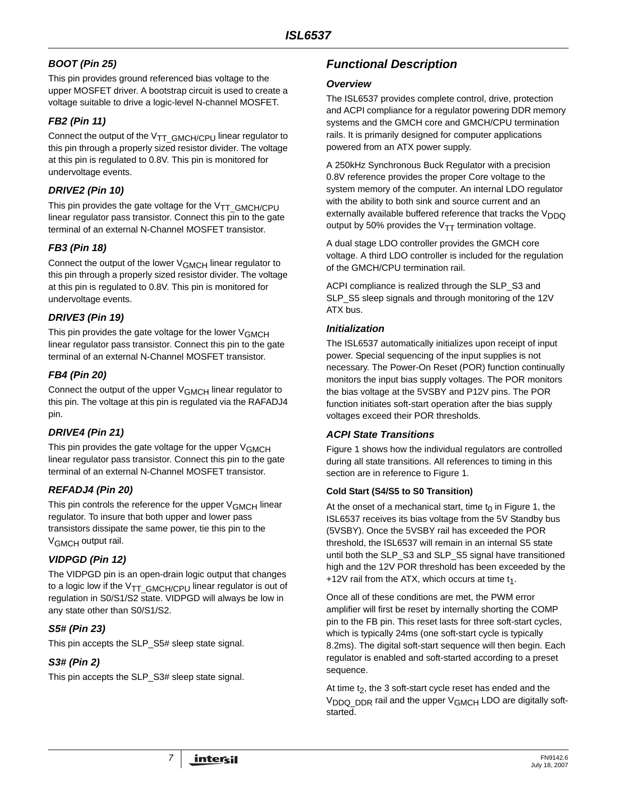## *BOOT (Pin 25)*

This pin provides ground referenced bias voltage to the upper MOSFET driver. A bootstrap circuit is used to create a voltage suitable to drive a logic-level N-channel MOSFET.

## *FB2 (Pin 11)*

Connect the output of the  $V_{TT}$  GMCH/CPU linear regulator to this pin through a properly sized resistor divider. The voltage at this pin is regulated to 0.8V. This pin is monitored for undervoltage events.

## *DRIVE2 (Pin 10)*

This pin provides the gate voltage for the  $V_{TT}$  GMCH/CPU linear regulator pass transistor. Connect this pin to the gate terminal of an external N-Channel MOSFET transistor.

#### *FB3 (Pin 18)*

Connect the output of the lower VGMCH linear regulator to this pin through a properly sized resistor divider. The voltage at this pin is regulated to 0.8V. This pin is monitored for undervoltage events.

#### *DRIVE3 (Pin 19)*

This pin provides the gate voltage for the lower V<sub>GMCH</sub> linear regulator pass transistor. Connect this pin to the gate terminal of an external N-Channel MOSFET transistor.

## *FB4 (Pin 20)*

Connect the output of the upper V<sub>GMCH</sub> linear regulator to this pin. The voltage at this pin is regulated via the RAFADJ4 pin.

#### *DRIVE4 (Pin 21)*

This pin provides the gate voltage for the upper V<sub>GMCH</sub> linear regulator pass transistor. Connect this pin to the gate terminal of an external N-Channel MOSFET transistor.

## *REFADJ4 (Pin 20)*

This pin controls the reference for the upper V<sub>GMCH</sub> linear regulator. To insure that both upper and lower pass transistors dissipate the same power, tie this pin to the VGMCH output rail.

## *VIDPGD (Pin 12)*

The VIDPGD pin is an open-drain logic output that changes to a logic low if the  $V_{TT}$  GMCH/CPU linear regulator is out of regulation in S0/S1/S2 state. VIDPGD will always be low in any state other than S0/S1/S2.

## *S5# (Pin 23)*

This pin accepts the SLP\_S5# sleep state signal.

## *S3# (Pin 2)*

This pin accepts the SLP\_S3# sleep state signal.

# *Functional Description*

#### *Overview*

The ISL6537 provides complete control, drive, protection and ACPI compliance for a regulator powering DDR memory systems and the GMCH core and GMCH/CPU termination rails. It is primarily designed for computer applications powered from an ATX power supply.

A 250kHz Synchronous Buck Regulator with a precision 0.8V reference provides the proper Core voltage to the system memory of the computer. An internal LDO regulator with the ability to both sink and source current and an externally available buffered reference that tracks the  $V<sub>DDQ</sub>$ output by 50% provides the  $V_{TT}$  termination voltage.

A dual stage LDO controller provides the GMCH core voltage. A third LDO controller is included for the regulation of the GMCH/CPU termination rail.

ACPI compliance is realized through the SLP\_S3 and SLP\_S5 sleep signals and through monitoring of the 12V ATX bus.

#### *Initialization*

The ISL6537 automatically initializes upon receipt of input power. Special sequencing of the input supplies is not necessary. The Power-On Reset (POR) function continually monitors the input bias supply voltages. The POR monitors the bias voltage at the 5VSBY and P12V pins. The POR function initiates soft-start operation after the bias supply voltages exceed their POR thresholds.

#### *ACPI State Transitions*

Figure 1 shows how the individual regulators are controlled during all state transitions. All references to timing in this section are in reference to Figure 1.

#### **Cold Start (S4/S5 to S0 Transition)**

At the onset of a mechanical start, time  $t_0$  in Figure 1, the ISL6537 receives its bias voltage from the 5V Standby bus (5VSBY). Once the 5VSBY rail has exceeded the POR threshold, the ISL6537 will remain in an internal S5 state until both the SLP\_S3 and SLP\_S5 signal have transitioned high and the 12V POR threshold has been exceeded by the +12V rail from the ATX, which occurs at time  $t_1$ .

Once all of these conditions are met, the PWM error amplifier will first be reset by internally shorting the COMP pin to the FB pin. This reset lasts for three soft-start cycles, which is typically 24ms (one soft-start cycle is typically 8.2ms). The digital soft-start sequence will then begin. Each regulator is enabled and soft-started according to a preset sequence.

At time  $t<sub>2</sub>$ , the 3 soft-start cycle reset has ended and the V<sub>DDQ\_DDR</sub> rail and the upper V<sub>GMCH</sub> LDO are digitally softstarted.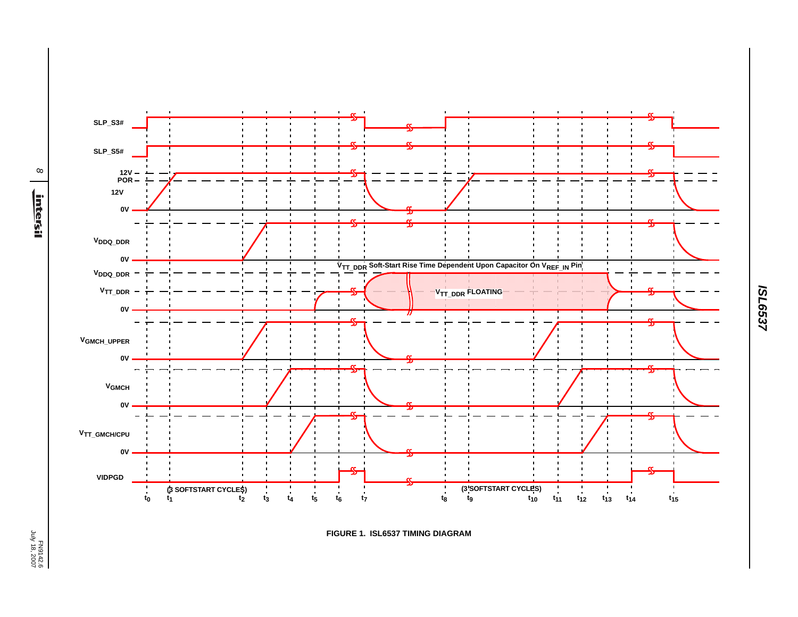*8* <u>intersil</u>



لاحتلال المسافرة المسافرة المسافرة المسافرة المسافرة المسافرة المسافرة المسافرة المسافرة المسافرة المسافرة الم<br>المسافرة المسافرة المسافرة المسافرة المسافرة المسافرة المسافرة المسافرة المسافرة المسافرة المسافرة المسافرة ال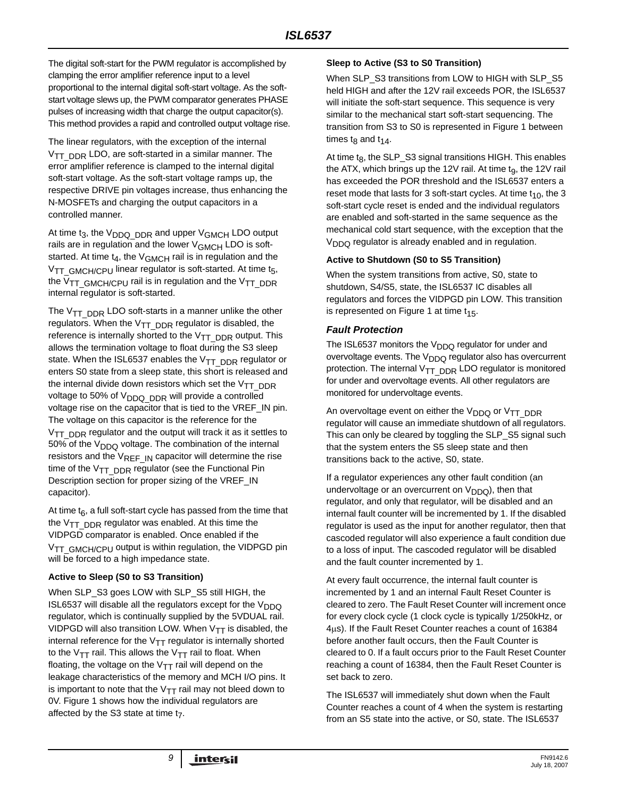The digital soft-start for the PWM regulator is accomplished by clamping the error amplifier reference input to a level proportional to the internal digital soft-start voltage. As the softstart voltage slews up, the PWM comparator generates PHASE pulses of increasing width that charge the output capacitor(s). This method provides a rapid and controlled output voltage rise.

The linear regulators, with the exception of the internal V<sub>TT\_DDR</sub> LDO, are soft-started in a similar manner. The error amplifier reference is clamped to the internal digital soft-start voltage. As the soft-start voltage ramps up, the respective DRIVE pin voltages increase, thus enhancing the N-MOSFETs and charging the output capacitors in a controlled manner.

At time  $t_3$ , the  $V_{DDQ-DDR}$  and upper  $V_{GMCH}$  LDO output rails are in regulation and the lower V<sub>GMCH</sub> LDO is softstarted. At time  $t_4$ , the  $V_{GMCH}$  rail is in regulation and the  $V_{TT}$  GMCH/CPU linear regulator is soft-started. At time t<sub>5</sub>, the V<sub>TT</sub> GMCH/CPU rail is in regulation and the V<sub>TT</sub> DDR internal regulator is soft-started.

The  $V_{TT}$  <sub>DDR</sub> LDO soft-starts in a manner unlike the other regulators. When the  $V_{TT}$   $DDR$  regulator is disabled, the reference is internally shorted to the  $V_{TT}$   $_{\text{DDR}}$  output. This allows the termination voltage to float during the S3 sleep state. When the ISL6537 enables the  $V_{TT\_DDR}$  regulator or enters S0 state from a sleep state, this short is released and the internal divide down resistors which set the  $V_{TT}$   $DDR$ voltage to 50% of  $V<sub>DDQ</sub>$   $DDR$  will provide a controlled voltage rise on the capacitor that is tied to the VREF\_IN pin. The voltage on this capacitor is the reference for the  $V_{TT}$  <sub>DDR</sub> regulator and the output will track it as it settles to 50% of the  $V<sub>DDQ</sub>$  voltage. The combination of the internal resistors and the  $V_{REF\_IN}$  capacitor will determine the rise time of the  $V_{TT}$  <sub>DDR</sub> regulator (see the Functional Pin Description section for proper sizing of the VREF\_IN capacitor).

At time  $t_6$ , a full soft-start cycle has passed from the time that the  $V_{TT}$  <sub>DDR</sub> regulator was enabled. At this time the VIDPGD comparator is enabled. Once enabled if the V<sub>TT\_GMCH/CPU</sub> output is within regulation, the VIDPGD pin will be forced to a high impedance state.

#### **Active to Sleep (S0 to S3 Transition)**

When SLP\_S3 goes LOW with SLP\_S5 still HIGH, the ISL6537 will disable all the regulators except for the  $V_{\text{DDO}}$ regulator, which is continually supplied by the 5VDUAL rail. VIDPGD will also transition LOW. When  $V_{TT}$  is disabled, the internal reference for the  $V_{TT}$  regulator is internally shorted to the V<sub>TT</sub> rail. This allows the V<sub>TT</sub> rail to float. When floating, the voltage on the  $V_{TT}$  rail will depend on the leakage characteristics of the memory and MCH I/O pins. It is important to note that the  $V_{TT}$  rail may not bleed down to 0V. Figure 1 shows how the individual regulators are affected by the S3 state at time t<sub>7</sub>.

#### **Sleep to Active (S3 to S0 Transition)**

When SLP\_S3 transitions from LOW to HIGH with SLP\_S5 held HIGH and after the 12V rail exceeds POR, the ISL6537 will initiate the soft-start sequence. This sequence is very similar to the mechanical start soft-start sequencing. The transition from S3 to S0 is represented in Figure 1 between times t<sub>8</sub> and  $t_{14}$ .

At time  $t_8$ , the SLP\_S3 signal transitions HIGH. This enables the ATX, which brings up the 12V rail. At time t<sub>9</sub>, the 12V rail has exceeded the POR threshold and the ISL6537 enters a reset mode that lasts for 3 soft-start cycles. At time  $t_{10}$ , the 3 soft-start cycle reset is ended and the individual regulators are enabled and soft-started in the same sequence as the mechanical cold start sequence, with the exception that the  $V<sub>DDO</sub>$  regulator is already enabled and in regulation.

#### **Active to Shutdown (S0 to S5 Transition)**

When the system transitions from active, S0, state to shutdown, S4/S5, state, the ISL6537 IC disables all regulators and forces the VIDPGD pin LOW. This transition is represented on Figure 1 at time  $t_{15}$ .

#### *Fault Protection*

The ISL6537 monitors the  $V_{DDO}$  regulator for under and overvoltage events. The V<sub>DDQ</sub> regulator also has overcurrent protection. The internal  $V_{TT}$   $_{\text{DDR}}$  LDO regulator is monitored for under and overvoltage events. All other regulators are monitored for undervoltage events.

An overvoltage event on either the V<sub>DDQ</sub> or V<sub>TT</sub> DDR regulator will cause an immediate shutdown of all regulators. This can only be cleared by toggling the SLP\_S5 signal such that the system enters the S5 sleep state and then transitions back to the active, S0, state.

If a regulator experiences any other fault condition (an undervoltage or an overcurrent on  $V_{DDQ}$ ), then that regulator, and only that regulator, will be disabled and an internal fault counter will be incremented by 1. If the disabled regulator is used as the input for another regulator, then that cascoded regulator will also experience a fault condition due to a loss of input. The cascoded regulator will be disabled and the fault counter incremented by 1.

At every fault occurrence, the internal fault counter is incremented by 1 and an internal Fault Reset Counter is cleared to zero. The Fault Reset Counter will increment once for every clock cycle (1 clock cycle is typically 1/250kHz, or 4μs). If the Fault Reset Counter reaches a count of 16384 before another fault occurs, then the Fault Counter is cleared to 0. If a fault occurs prior to the Fault Reset Counter reaching a count of 16384, then the Fault Reset Counter is set back to zero.

The ISL6537 will immediately shut down when the Fault Counter reaches a count of 4 when the system is restarting from an S5 state into the active, or S0, state. The ISL6537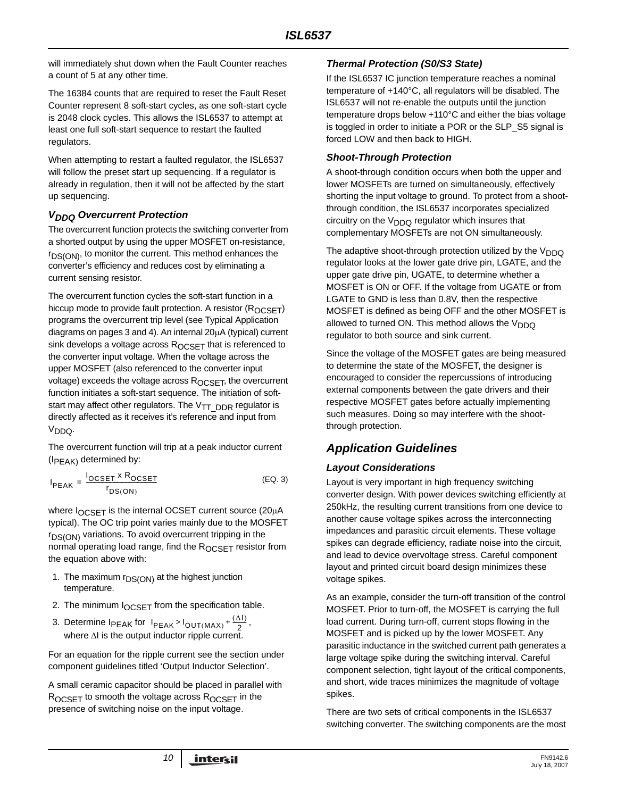will immediately shut down when the Fault Counter reaches a count of 5 at any other time.

The 16384 counts that are required to reset the Fault Reset Counter represent 8 soft-start cycles, as one soft-start cycle is 2048 clock cycles. This allows the ISL6537 to attempt at least one full soft-start sequence to restart the faulted regulators.

When attempting to restart a faulted regulator, the ISL6537 will follow the preset start up sequencing. If a regulator is already in regulation, then it will not be affected by the start up sequencing.

#### *VDDQ Overcurrent Protection*

The overcurrent function protects the switching converter from a shorted output by using the upper MOSFET on-resistance,  $r_{DS(ON)}$ , to monitor the current. This method enhances the converter's efficiency and reduces cost by eliminating a current sensing resistor.

The overcurrent function cycles the soft-start function in a hiccup mode to provide fault protection. A resistor  $(R_{OCSFT})$ programs the overcurrent trip level (see Typical Application diagrams on pages 3 and 4). An internal 20μA (typical) current sink develops a voltage across  $R_{OCSFT}$  that is referenced to the converter input voltage. When the voltage across the upper MOSFET (also referenced to the converter input voltage) exceeds the voltage across  $R_{OCSET}$ , the overcurrent function initiates a soft-start sequence. The initiation of softstart may affect other regulators. The  $V_{TT}$   $_{\text{DDR}}$  regulator is directly affected as it receives it's reference and input from V<sub>DDQ</sub>.

The overcurrent function will trip at a peak inductor current  $(I_{PEAK})$  determined by:

$$
I_{PEAK} = \frac{I_{OCSET} \times R_{OCSET}}{r_{DS(ON)}}
$$
 (EQ. 3)

where  $I_{OCSET}$  is the internal OCSET current source (20μA typical). The OC trip point varies mainly due to the MOSFET  $r_{DS(ON)}$  variations. To avoid overcurrent tripping in the normal operating load range, find the ROCSET resistor from the equation above with:

- 1. The maximum  $r_{DS(ON)}$  at the highest junction temperature.
- 2. The minimum  $I_{OCSFT}$  from the specification table.
- 3. Determine  $I_{PEAK}$  for  $I_{PEAK} > I_{OUT(MAX)} + \frac{(\Delta I)}{2}$ , where  $\Delta I$  is the output inductor ripple current.

For an equation for the ripple current see the section under component guidelines titled 'Output Inductor Selection'.

A small ceramic capacitor should be placed in parallel with ROCSET to smooth the voltage across ROCSET in the presence of switching noise on the input voltage.

#### *Thermal Protection (S0/S3 State)*

If the ISL6537 IC junction temperature reaches a nominal temperature of +140°C, all regulators will be disabled. The ISL6537 will not re-enable the outputs until the junction temperature drops below +110°C and either the bias voltage is toggled in order to initiate a POR or the SLP\_S5 signal is forced LOW and then back to HIGH.

#### *Shoot-Through Protection*

A shoot-through condition occurs when both the upper and lower MOSFETs are turned on simultaneously, effectively shorting the input voltage to ground. To protect from a shootthrough condition, the ISL6537 incorporates specialized circuitry on the  $V<sub>DDQ</sub>$  regulator which insures that complementary MOSFETs are not ON simultaneously.

The adaptive shoot-through protection utilized by the  $V_{DDQ}$ regulator looks at the lower gate drive pin, LGATE, and the upper gate drive pin, UGATE, to determine whether a MOSFET is ON or OFF. If the voltage from UGATE or from LGATE to GND is less than 0.8V, then the respective MOSFET is defined as being OFF and the other MOSFET is allowed to turned ON. This method allows the  $V_{DDO}$ regulator to both source and sink current.

Since the voltage of the MOSFET gates are being measured to determine the state of the MOSFET, the designer is encouraged to consider the repercussions of introducing external components between the gate drivers and their respective MOSFET gates before actually implementing such measures. Doing so may interfere with the shootthrough protection.

# *Application Guidelines*

#### *Layout Considerations*

Layout is very important in high frequency switching converter design. With power devices switching efficiently at 250kHz, the resulting current transitions from one device to another cause voltage spikes across the interconnecting impedances and parasitic circuit elements. These voltage spikes can degrade efficiency, radiate noise into the circuit, and lead to device overvoltage stress. Careful component layout and printed circuit board design minimizes these voltage spikes.

As an example, consider the turn-off transition of the control MOSFET. Prior to turn-off, the MOSFET is carrying the full load current. During turn-off, current stops flowing in the MOSFET and is picked up by the lower MOSFET. Any parasitic inductance in the switched current path generates a large voltage spike during the switching interval. Careful component selection, tight layout of the critical components, and short, wide traces minimizes the magnitude of voltage spikes.

There are two sets of critical components in the ISL6537 switching converter. The switching components are the most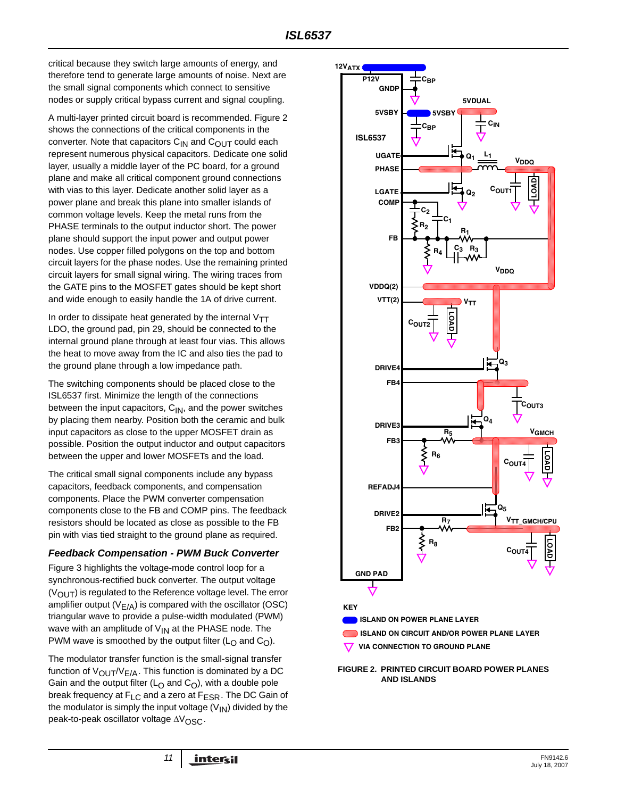critical because they switch large amounts of energy, and therefore tend to generate large amounts of noise. Next are the small signal components which connect to sensitive nodes or supply critical bypass current and signal coupling.

A multi-layer printed circuit board is recommended. Figure 2 shows the connections of the critical components in the converter. Note that capacitors  $C_{IN}$  and  $C_{OUT}$  could each represent numerous physical capacitors. Dedicate one solid layer, usually a middle layer of the PC board, for a ground plane and make all critical component ground connections with vias to this layer. Dedicate another solid layer as a power plane and break this plane into smaller islands of common voltage levels. Keep the metal runs from the PHASE terminals to the output inductor short. The power plane should support the input power and output power nodes. Use copper filled polygons on the top and bottom circuit layers for the phase nodes. Use the remaining printed circuit layers for small signal wiring. The wiring traces from the GATE pins to the MOSFET gates should be kept short and wide enough to easily handle the 1A of drive current.

In order to dissipate heat generated by the internal  $V_{TT}$ LDO, the ground pad, pin 29, should be connected to the internal ground plane through at least four vias. This allows the heat to move away from the IC and also ties the pad to the ground plane through a low impedance path.

The switching components should be placed close to the ISL6537 first. Minimize the length of the connections between the input capacitors,  $C_{\text{IN}}$ , and the power switches by placing them nearby. Position both the ceramic and bulk input capacitors as close to the upper MOSFET drain as possible. Position the output inductor and output capacitors between the upper and lower MOSFETs and the load.

The critical small signal components include any bypass capacitors, feedback components, and compensation components. Place the PWM converter compensation components close to the FB and COMP pins. The feedback resistors should be located as close as possible to the FB pin with vias tied straight to the ground plane as required.

#### *Feedback Compensation - PWM Buck Converter*

Figure 3 highlights the voltage-mode control loop for a synchronous-rectified buck converter. The output voltage  $(V<sub>OUT</sub>)$  is regulated to the Reference voltage level. The error amplifier output  $(V_{F/A})$  is compared with the oscillator (OSC) triangular wave to provide a pulse-width modulated (PWM) wave with an amplitude of  $V_{IN}$  at the PHASE node. The PWM wave is smoothed by the output filter ( $L<sub>O</sub>$  and  $C<sub>O</sub>$ ).

The modulator transfer function is the small-signal transfer function of  $V_{\text{OUT}}/V_{\text{F/A}}$ . This function is dominated by a DC Gain and the output filter ( $L<sub>O</sub>$  and  $C<sub>O</sub>$ ), with a double pole break frequency at  $F_{LC}$  and a zero at  $F_{ESR}$ . The DC Gain of the modulator is simply the input voltage  $(V_{1N})$  divided by the peak-to-peak oscillator voltage ΔV<sub>OSC</sub>.



**FIGURE 2. PRINTED CIRCUIT BOARD POWER PLANES AND ISLANDS**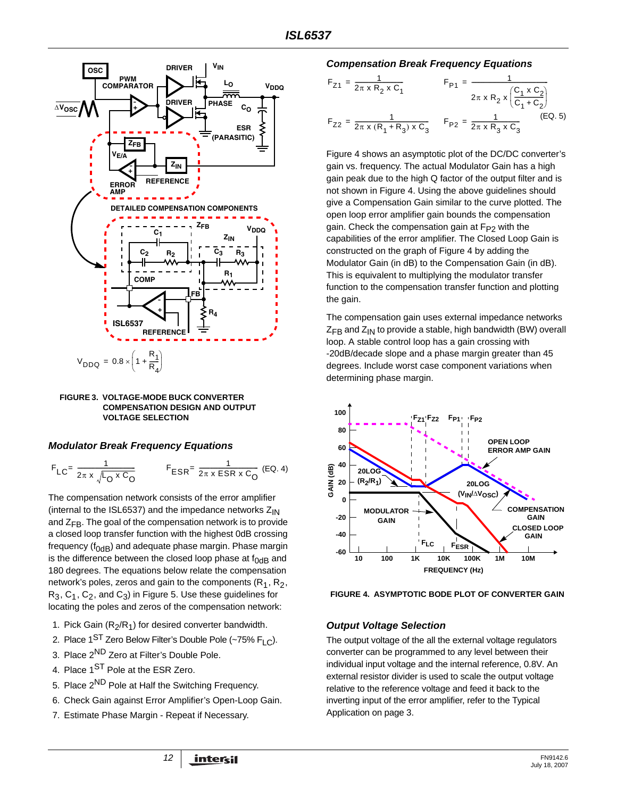

**FIGURE 3. VOLTAGE-MODE BUCK CONVERTER COMPENSATION DESIGN AND OUTPUT VOLTAGE SELECTION**

#### *Modulator Break Frequency Equations*

$$
F_{LC} = \frac{1}{2\pi \times \sqrt{L_0 \times C_0}}
$$
  
 
$$
F_{ESR} = \frac{1}{2\pi \times ESR \times C_0}
$$
 (EQ. 4)

The compensation network consists of the error amplifier (internal to the ISL6537) and the impedance networks  $Z_{IN}$ and  $Z_{FR}$ . The goal of the compensation network is to provide a closed loop transfer function with the highest 0dB crossing frequency ( $f_{OdB}$ ) and adequate phase margin. Phase margin is the difference between the closed loop phase at  $f_{0dB}$  and 180 degrees. The equations below relate the compensation network's poles, zeros and gain to the components  $(R_1, R_2, R_3)$  $R_3, C_1, C_2$ , and  $C_3$ ) in Figure 5. Use these guidelines for locating the poles and zeros of the compensation network:

- 1. Pick Gain  $(R_2/R_1)$  for desired converter bandwidth.
- 2. Place  $1<sup>ST</sup>$  Zero Below Filter's Double Pole (~75% F<sub>LC</sub>).
- 3. Place 2<sup>ND</sup> Zero at Filter's Double Pole.
- 4. Place 1<sup>ST</sup> Pole at the ESR Zero.
- 5. Place 2ND Pole at Half the Switching Frequency.
- 6. Check Gain against Error Amplifier's Open-Loop Gain.
- 7. Estimate Phase Margin Repeat if Necessary.

#### *Compensation Break Frequency Equations*

$$
F_{Z1} = \frac{1}{2\pi \times R_2 \times C_1}
$$
  
\n
$$
F_{P1} = \frac{1}{2\pi \times R_2 \times \left(\frac{C_1 \times C_2}{C_1 + C_2}\right)}
$$
  
\n
$$
F_{Z2} = \frac{1}{2\pi \times (R_1 + R_3) \times C_3}
$$
  
\n
$$
F_{P2} = \frac{1}{2\pi \times R_3 \times C_3}
$$
  
\n
$$
(EQ. 5)
$$

Figure 4 shows an asymptotic plot of the DC/DC converter's gain vs. frequency. The actual Modulator Gain has a high gain peak due to the high Q factor of the output filter and is not shown in Figure 4. Using the above guidelines should give a Compensation Gain similar to the curve plotted. The open loop error amplifier gain bounds the compensation gain. Check the compensation gain at  $F_{P2}$  with the capabilities of the error amplifier. The Closed Loop Gain is constructed on the graph of Figure 4 by adding the Modulator Gain (in dB) to the Compensation Gain (in dB). This is equivalent to multiplying the modulator transfer function to the compensation transfer function and plotting the gain.

The compensation gain uses external impedance networks  $Z_{FR}$  and  $Z_{IN}$  to provide a stable, high bandwidth (BW) overall loop. A stable control loop has a gain crossing with -20dB/decade slope and a phase margin greater than 45 degrees. Include worst case component variations when determining phase margin.



**FIGURE 4. ASYMPTOTIC BODE PLOT OF CONVERTER GAIN**

#### *Output Voltage Selection*

The output voltage of the all the external voltage regulators converter can be programmed to any level between their individual input voltage and the internal reference, 0.8V. An external resistor divider is used to scale the output voltage relative to the reference voltage and feed it back to the inverting input of the error amplifier, refer to the Typical Application on page 3.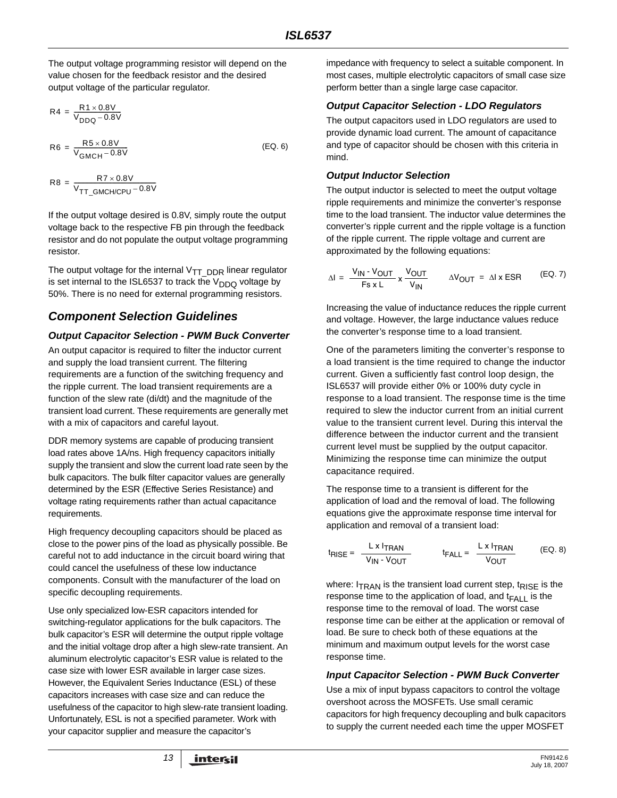The output voltage programming resistor will depend on the value chosen for the feedback resistor and the desired output voltage of the particular regulator.

$$
R4 = \frac{R1 \times 0.8V}{V_{DDQ} - 0.8V}
$$
  

$$
R6 = \frac{R5 \times 0.8V}{V_{GMCH} - 0.8V}
$$
 (EQ. 6)

 $R8 = \frac{R7 \times 0.8 \text{V}}{\text{VT\_GMCH/CPU}} - 0.8 \text{V}$ 

If the output voltage desired is 0.8V, simply route the output voltage back to the respective FB pin through the feedback resistor and do not populate the output voltage programming resistor.

The output voltage for the internal  $V_{TT}$  DDR linear regulator is set internal to the ISL6537 to track the  $V_{DDQ}$  voltage by 50%. There is no need for external programming resistors.

# *Component Selection Guidelines*

#### *Output Capacitor Selection - PWM Buck Converter*

An output capacitor is required to filter the inductor current and supply the load transient current. The filtering requirements are a function of the switching frequency and the ripple current. The load transient requirements are a function of the slew rate (di/dt) and the magnitude of the transient load current. These requirements are generally met with a mix of capacitors and careful layout.

DDR memory systems are capable of producing transient load rates above 1A/ns. High frequency capacitors initially supply the transient and slow the current load rate seen by the bulk capacitors. The bulk filter capacitor values are generally determined by the ESR (Effective Series Resistance) and voltage rating requirements rather than actual capacitance requirements.

High frequency decoupling capacitors should be placed as close to the power pins of the load as physically possible. Be careful not to add inductance in the circuit board wiring that could cancel the usefulness of these low inductance components. Consult with the manufacturer of the load on specific decoupling requirements.

Use only specialized low-ESR capacitors intended for switching-regulator applications for the bulk capacitors. The bulk capacitor's ESR will determine the output ripple voltage and the initial voltage drop after a high slew-rate transient. An aluminum electrolytic capacitor's ESR value is related to the case size with lower ESR available in larger case sizes. However, the Equivalent Series Inductance (ESL) of these capacitors increases with case size and can reduce the usefulness of the capacitor to high slew-rate transient loading. Unfortunately, ESL is not a specified parameter. Work with your capacitor supplier and measure the capacitor's

impedance with frequency to select a suitable component. In most cases, multiple electrolytic capacitors of small case size perform better than a single large case capacitor.

#### *Output Capacitor Selection - LDO Regulators*

The output capacitors used in LDO regulators are used to provide dynamic load current. The amount of capacitance and type of capacitor should be chosen with this criteria in mind.

#### *Output Inductor Selection*

The output inductor is selected to meet the output voltage ripple requirements and minimize the converter's response time to the load transient. The inductor value determines the converter's ripple current and the ripple voltage is a function of the ripple current. The ripple voltage and current are approximated by the following equations:

$$
\Delta I = \frac{V_{IN} - V_{OUT}}{Fs \times L} \times \frac{V_{OUT}}{V_{IN}} \qquad \Delta V_{OUT} = \Delta I \times ESR \qquad (EQ. 7)
$$

Increasing the value of inductance reduces the ripple current and voltage. However, the large inductance values reduce the converter's response time to a load transient.

One of the parameters limiting the converter's response to a load transient is the time required to change the inductor current. Given a sufficiently fast control loop design, the ISL6537 will provide either 0% or 100% duty cycle in response to a load transient. The response time is the time required to slew the inductor current from an initial current value to the transient current level. During this interval the difference between the inductor current and the transient current level must be supplied by the output capacitor. Minimizing the response time can minimize the output capacitance required.

The response time to a transient is different for the application of load and the removal of load. The following equations give the approximate response time interval for application and removal of a transient load:

$$
t_{RISE} = \frac{L \times I_{TRAN}}{V_{IN} \cdot V_{OUT}}
$$
  $t_{FALL} = \frac{L \times I_{TRAN}}{V_{OUT}}$  (EQ. 8)

where:  $I_{\text{TRAN}}$  is the transient load current step,  $t_{\text{RISE}}$  is the response time to the application of load, and  $t_{FAII}$  is the response time to the removal of load. The worst case response time can be either at the application or removal of load. Be sure to check both of these equations at the minimum and maximum output levels for the worst case response time.

#### *Input Capacitor Selection - PWM Buck Converter*

Use a mix of input bypass capacitors to control the voltage overshoot across the MOSFETs. Use small ceramic capacitors for high frequency decoupling and bulk capacitors to supply the current needed each time the upper MOSFET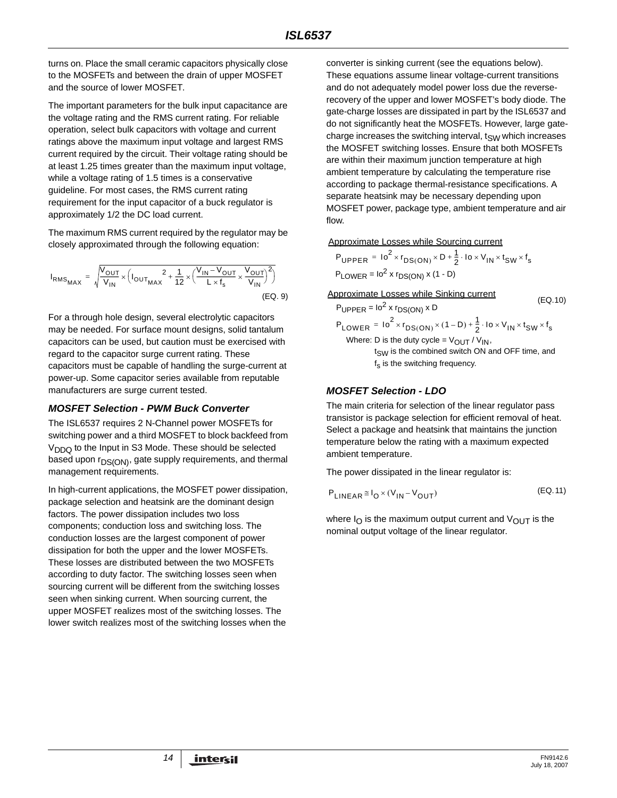turns on. Place the small ceramic capacitors physically close to the MOSFETs and between the drain of upper MOSFET and the source of lower MOSFET.

The important parameters for the bulk input capacitance are the voltage rating and the RMS current rating. For reliable operation, select bulk capacitors with voltage and current ratings above the maximum input voltage and largest RMS current required by the circuit. Their voltage rating should be at least 1.25 times greater than the maximum input voltage, while a voltage rating of 1.5 times is a conservative guideline. For most cases, the RMS current rating requirement for the input capacitor of a buck regulator is approximately 1/2 the DC load current.

The maximum RMS current required by the regulator may be closely approximated through the following equation:

$$
I_{RMS_{MAX}} = \sqrt{\frac{V_{OUT}}{V_{IN}} \times \left(I_{OUT_{MAX}}^2 + \frac{1}{12} \times \left(\frac{V_{IN} - V_{OUT}}{L \times f_s} \times \frac{V_{OUT}}{V_{IN}}\right)^2\right)}
$$
(EQ. 9)

For a through hole design, several electrolytic capacitors may be needed. For surface mount designs, solid tantalum capacitors can be used, but caution must be exercised with regard to the capacitor surge current rating. These capacitors must be capable of handling the surge-current at power-up. Some capacitor series available from reputable manufacturers are surge current tested.

#### *MOSFET Selection - PWM Buck Converter*

The ISL6537 requires 2 N-Channel power MOSFETs for switching power and a third MOSFET to block backfeed from  $V<sub>D</sub>$  to the Input in S3 Mode. These should be selected based upon  $r_{DS(ON)}$ , gate supply requirements, and thermal management requirements.

In high-current applications, the MOSFET power dissipation, package selection and heatsink are the dominant design factors. The power dissipation includes two loss components; conduction loss and switching loss. The conduction losses are the largest component of power dissipation for both the upper and the lower MOSFETs. These losses are distributed between the two MOSFETs according to duty factor. The switching losses seen when sourcing current will be different from the switching losses seen when sinking current. When sourcing current, the upper MOSFET realizes most of the switching losses. The lower switch realizes most of the switching losses when the

converter is sinking current (see the equations below). These equations assume linear voltage-current transitions and do not adequately model power loss due the reverserecovery of the upper and lower MOSFET's body diode. The gate-charge losses are dissipated in part by the ISL6537 and do not significantly heat the MOSFETs. However, large gatecharge increases the switching interval,  $t_{SW}$  which increases the MOSFET switching losses. Ensure that both MOSFETs are within their maximum junction temperature at high ambient temperature by calculating the temperature rise according to package thermal-resistance specifications. A separate heatsink may be necessary depending upon MOSFET power, package type, ambient temperature and air flow.

Approximate Losses while Sourcing current

$$
P_{\text{UPPER}} = 10^{2} \times r_{DS(ON)} \times D + \frac{1}{2} \cdot 10 \times V_{\text{IN}} \times t_{SW} \times t_{s}
$$
  
 
$$
P_{\text{LOWER}} = 10^{2} \times r_{DS(ON)} \times (1 - D)
$$

Approximate Losses while Sinking current

(EQ.10)  
\n
$$
P_{\text{UPPER}} = 10^2 \times r_{DS(\text{ON})} \times D
$$
\n
$$
P_{\text{LOWER}} = 10^2 \times r_{DS(\text{ON})} \times (1 - D) + \frac{1}{2} \cdot 10 \times V_{\text{IN}} \times t_{\text{SW}} \times t_{\text{s}}
$$
\nWhere: D is the duty cycle =  $V_{\text{OUT}} / V_{\text{IN}}$ ,

 $t<sub>SW</sub>$  is the combined switch ON and OFF time, and  $f_s$  is the switching frequency.

#### *MOSFET Selection - LDO*

The main criteria for selection of the linear regulator pass transistor is package selection for efficient removal of heat. Select a package and heatsink that maintains the junction temperature below the rating with a maximum expected ambient temperature.

The power dissipated in the linear regulator is:

$$
P_{\text{LINEAR}} \cong I_0 \times (V_{\text{IN}} - V_{\text{OUT}}) \tag{Eq.11}
$$

where  $I_{\Omega}$  is the maximum output current and  $V_{\text{OUT}}$  is the nominal output voltage of the linear regulator.